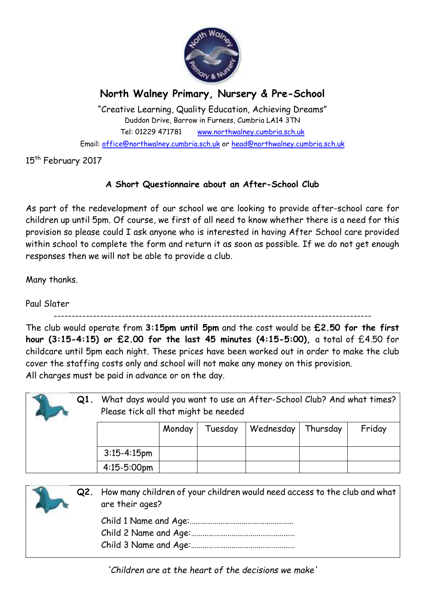

## **North Walney Primary, Nursery & Pre-School**

"Creative Learning, Quality Education, Achieving Dreams" Duddon Drive, Barrow in Furness, Cumbria LA14 3TN Tel: 01229 471781 www.northwalney.cumbria.sch.uk Email: office@northwalney.cumbria.sch.uk or head@northwalney.cumbria.sch.uk

15<sup>th</sup> February 2017

## **A Short Questionnaire about an After-School Club**

As part of the redevelopment of our school we are looking to provide after-school care for children up until 5pm. Of course, we first of all need to know whether there is a need for this provision so please could I ask anyone who is interested in having After School care provided within school to complete the form and return it as soon as possible. If we do not get enough responses then we will not be able to provide a club.

Many thanks.

Paul Slater

-----------------------------------------------------------------------------------------

The club would operate from **3:15pm until 5pm** and the cost would be **£2.50 for the first hour (3:15-4:15) or £2.00 for the last 45 minutes (4:15-5:00),** a total of £4.50 for childcare until 5pm each night. These prices have been worked out in order to make the club cover the staffing costs only and school will not make any money on this provision. All charges must be paid in advance or on the day.

| $Q1$ . | What days would you want to use an After-School Club? And what times?<br>Please tick all that might be needed |        |         |           |          |        |
|--------|---------------------------------------------------------------------------------------------------------------|--------|---------|-----------|----------|--------|
|        |                                                                                                               | Monday | Tuesday | Wednesday | Thursday | Friday |
|        | $3:15 - 4:15$ pm                                                                                              |        |         |           |          |        |
|        | $4:15-5:00$ pm                                                                                                |        |         |           |          |        |

| Q2. | How many children of your children would need access to the club and what<br>are their ages? |
|-----|----------------------------------------------------------------------------------------------|
|     |                                                                                              |

*'Children are at the heart of the decisions we make'*